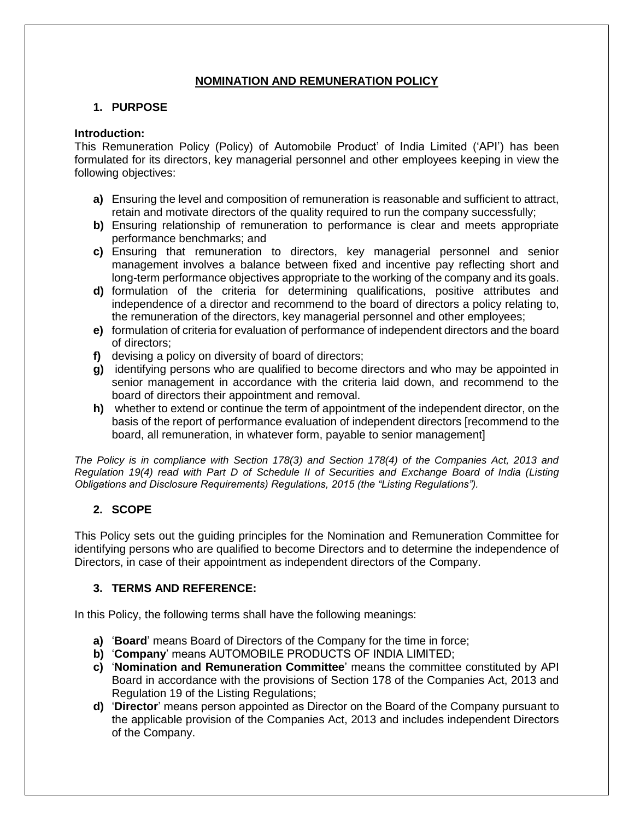# **NOMINATION AND REMUNERATION POLICY**

# **1. PURPOSE**

### **Introduction:**

This Remuneration Policy (Policy) of Automobile Product' of India Limited ('API') has been formulated for its directors, key managerial personnel and other employees keeping in view the following objectives:

- **a)** Ensuring the level and composition of remuneration is reasonable and sufficient to attract, retain and motivate directors of the quality required to run the company successfully;
- **b)** Ensuring relationship of remuneration to performance is clear and meets appropriate performance benchmarks; and
- **c)** Ensuring that remuneration to directors, key managerial personnel and senior management involves a balance between fixed and incentive pay reflecting short and long-term performance objectives appropriate to the working of the company and its goals.
- **d)** formulation of the criteria for determining qualifications, positive attributes and independence of a director and recommend to the board of directors a policy relating to, the remuneration of the directors, key managerial personnel and other employees;
- **e)** formulation of criteria for evaluation of performance of independent directors and the board of directors;
- **f)** devising a policy on diversity of board of directors;
- **g)** identifying persons who are qualified to become directors and who may be appointed in senior management in accordance with the criteria laid down, and recommend to the board of directors their appointment and removal.
- **h)** whether to extend or continue the term of appointment of the independent director, on the basis of the report of performance evaluation of independent directors [recommend to the board, all remuneration, in whatever form, payable to senior management]

*The Policy is in compliance with Section 178(3) and Section 178(4) of the Companies Act, 2013 and Regulation 19(4) read with Part D of Schedule II of Securities and Exchange Board of India (Listing Obligations and Disclosure Requirements) Regulations, 2015 (the "Listing Regulations").*

# **2. SCOPE**

This Policy sets out the guiding principles for the Nomination and Remuneration Committee for identifying persons who are qualified to become Directors and to determine the independence of Directors, in case of their appointment as independent directors of the Company.

## **3. TERMS AND REFERENCE:**

In this Policy, the following terms shall have the following meanings:

- **a)** '**Board**' means Board of Directors of the Company for the time in force;
- **b)** '**Company**' means AUTOMOBILE PRODUCTS OF INDIA LIMITED;
- **c)** '**Nomination and Remuneration Committee**' means the committee constituted by API Board in accordance with the provisions of Section 178 of the Companies Act, 2013 and Regulation 19 of the Listing Regulations;
- **d)** '**Director**' means person appointed as Director on the Board of the Company pursuant to the applicable provision of the Companies Act, 2013 and includes independent Directors of the Company.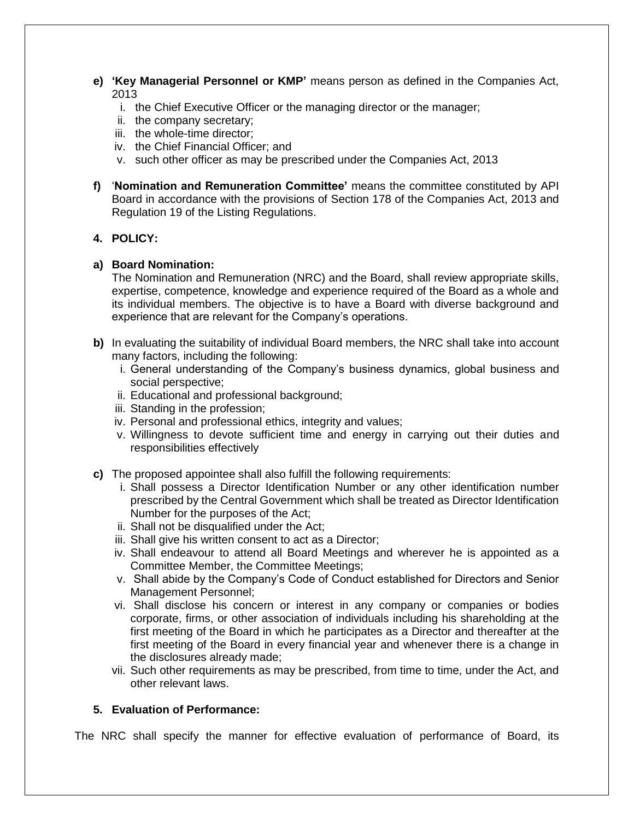- **e) 'Key Managerial Personnel or KMP'** means person as defined in the Companies Act, 2013
	- i. the Chief Executive Officer or the managing director or the manager;
	- ii. the company secretary;
	- iii. the whole-time director;
	- iv. the Chief Financial Officer; and
	- v. such other officer as may be prescribed under the Companies Act, 2013
- **f)** '**Nomination and Remuneration Committee'** means the committee constituted by API Board in accordance with the provisions of Section 178 of the Companies Act, 2013 and Regulation 19 of the Listing Regulations.

#### **4. POLICY:**

#### **a) Board Nomination:**

The Nomination and Remuneration (NRC) and the Board, shall review appropriate skills, expertise, competence, knowledge and experience required of the Board as a whole and its individual members. The objective is to have a Board with diverse background and experience that are relevant for the Company's operations.

- **b)** In evaluating the suitability of individual Board members, the NRC shall take into account many factors, including the following:
	- i. General understanding of the Company's business dynamics, global business and social perspective;
	- ii. Educational and professional background;
	- iii. Standing in the profession;
	- iv. Personal and professional ethics, integrity and values;
	- v. Willingness to devote sufficient time and energy in carrying out their duties and responsibilities effectively
- **c)** The proposed appointee shall also fulfill the following requirements:
	- i. Shall possess a Director Identification Number or any other identification number prescribed by the Central Government which shall be treated as Director Identification Number for the purposes of the Act;
	- ii. Shall not be disqualified under the Act;
	- iii. Shall give his written consent to act as a Director;
	- iv. Shall endeavour to attend all Board Meetings and wherever he is appointed as a Committee Member, the Committee Meetings;
	- v. Shall abide by the Company's Code of Conduct established for Directors and Senior Management Personnel;
	- vi. Shall disclose his concern or interest in any company or companies or bodies corporate, firms, or other association of individuals including his shareholding at the first meeting of the Board in which he participates as a Director and thereafter at the first meeting of the Board in every financial year and whenever there is a change in the disclosures already made;
	- vii. Such other requirements as may be prescribed, from time to time, under the Act, and other relevant laws.

## **5. Evaluation of Performance:**

The NRC shall specify the manner for effective evaluation of performance of Board, its